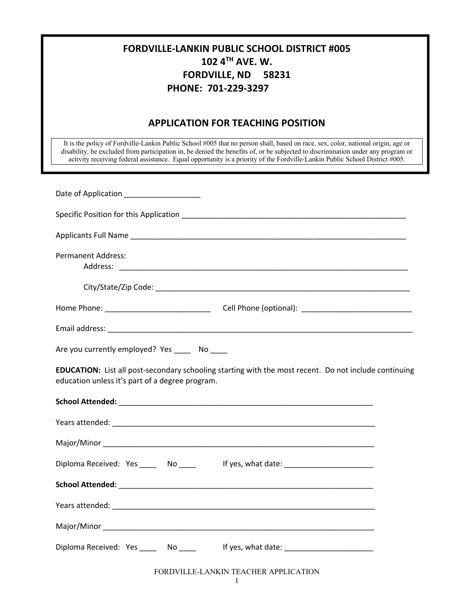| <b>FORDVILLE-LANKIN PUBLIC SCHOOL DISTRICT #005</b><br>102 4TH AVE, W.<br><b>FORDVILLE, ND 58231</b><br>PHONE: 701-229-3297                                                                                                                                                                                                                                                                         |  |  |  |
|-----------------------------------------------------------------------------------------------------------------------------------------------------------------------------------------------------------------------------------------------------------------------------------------------------------------------------------------------------------------------------------------------------|--|--|--|
| <b>APPLICATION FOR TEACHING POSITION</b>                                                                                                                                                                                                                                                                                                                                                            |  |  |  |
| It is the policy of Fordville-Lankin Public School #005 that no person shall, based on race, sex, color, national origin, age or<br>disability, be excluded from participation in, be denied the benefits of, or be subjected to discrimination under any program or<br>activity receiving federal assistance. Equal opportunity is a priority of the Fordville-Lankin Public School District #005. |  |  |  |
| Date of Application _____________________                                                                                                                                                                                                                                                                                                                                                           |  |  |  |
| Specific Position for this Application <b>Specific Specific Position Specific Position Contract Position</b>                                                                                                                                                                                                                                                                                        |  |  |  |
|                                                                                                                                                                                                                                                                                                                                                                                                     |  |  |  |
| <b>Permanent Address:</b>                                                                                                                                                                                                                                                                                                                                                                           |  |  |  |
|                                                                                                                                                                                                                                                                                                                                                                                                     |  |  |  |
|                                                                                                                                                                                                                                                                                                                                                                                                     |  |  |  |
|                                                                                                                                                                                                                                                                                                                                                                                                     |  |  |  |
| Are you currently employed? Yes _______ No _____                                                                                                                                                                                                                                                                                                                                                    |  |  |  |
| <b>EDUCATION:</b> List all post-secondary schooling starting with the most recent. Do not include continuing<br>education unless it's part of a degree program.                                                                                                                                                                                                                                     |  |  |  |
|                                                                                                                                                                                                                                                                                                                                                                                                     |  |  |  |
|                                                                                                                                                                                                                                                                                                                                                                                                     |  |  |  |
|                                                                                                                                                                                                                                                                                                                                                                                                     |  |  |  |
| Diploma Received: Yes _______ No ______ lf yes, what date: _____________________                                                                                                                                                                                                                                                                                                                    |  |  |  |
|                                                                                                                                                                                                                                                                                                                                                                                                     |  |  |  |
|                                                                                                                                                                                                                                                                                                                                                                                                     |  |  |  |
|                                                                                                                                                                                                                                                                                                                                                                                                     |  |  |  |
| Diploma Received: Yes _______ No ______ lf yes, what date: _____________________                                                                                                                                                                                                                                                                                                                    |  |  |  |
| FORDVILLE-LANKIN TEACHER APPLICATION                                                                                                                                                                                                                                                                                                                                                                |  |  |  |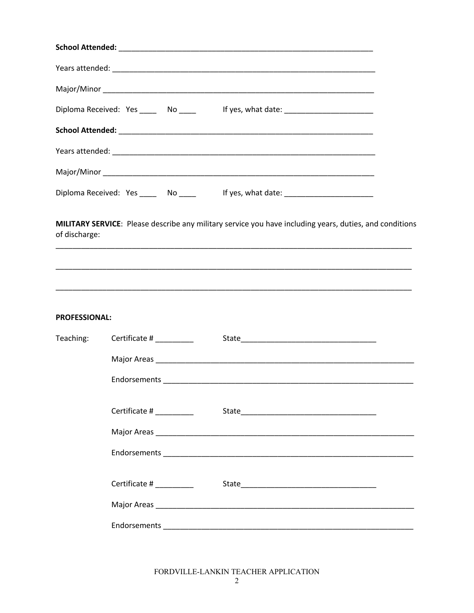|                      | Diploma Received: Yes ______ No _____ lf yes, what date: _______________________                        |
|----------------------|---------------------------------------------------------------------------------------------------------|
|                      |                                                                                                         |
|                      |                                                                                                         |
|                      |                                                                                                         |
|                      | Diploma Received: Yes ______ No _____ lf yes, what date: _______________________                        |
| of discharge:        | MILITARY SERVICE: Please describe any military service you have including years, duties, and conditions |
| <b>PROFESSIONAL:</b> |                                                                                                         |
| Teaching:            | Certificate # ________                                                                                  |
|                      |                                                                                                         |
|                      |                                                                                                         |
|                      | Certificate # ________                                                                                  |
|                      |                                                                                                         |
|                      |                                                                                                         |
|                      | Certificate # ________                                                                                  |
|                      |                                                                                                         |
|                      |                                                                                                         |

FORDVILLE-LANKIN TEACHER APPLICATION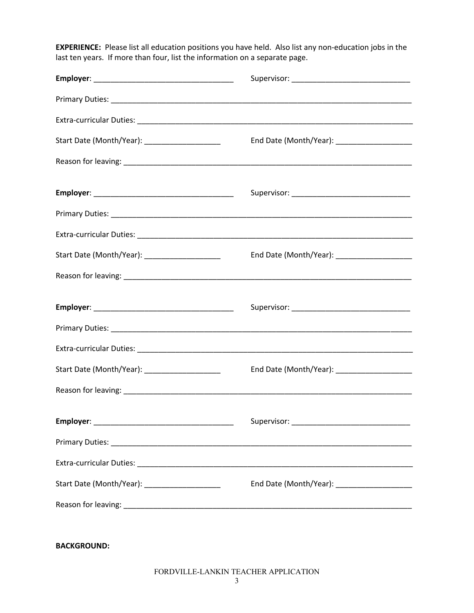**EXPERIENCE:** Please list all education positions you have held. Also list any non-education jobs in the last ten years. If more than four, list the information on a separate page.

| Start Date (Month/Year): _______________________ | End Date (Month/Year): _____________________ |  |  |
|--------------------------------------------------|----------------------------------------------|--|--|
|                                                  |                                              |  |  |
|                                                  |                                              |  |  |
|                                                  |                                              |  |  |
|                                                  |                                              |  |  |
| Start Date (Month/Year): ______________________  |                                              |  |  |
|                                                  |                                              |  |  |
|                                                  |                                              |  |  |
|                                                  |                                              |  |  |
|                                                  |                                              |  |  |
| Start Date (Month/Year): _____________________   |                                              |  |  |
|                                                  |                                              |  |  |
|                                                  |                                              |  |  |
|                                                  |                                              |  |  |
|                                                  |                                              |  |  |
| Start Date (Month/Year): _______________________ |                                              |  |  |
|                                                  |                                              |  |  |
|                                                  |                                              |  |  |
| <b>BACKGROUND:</b>                               |                                              |  |  |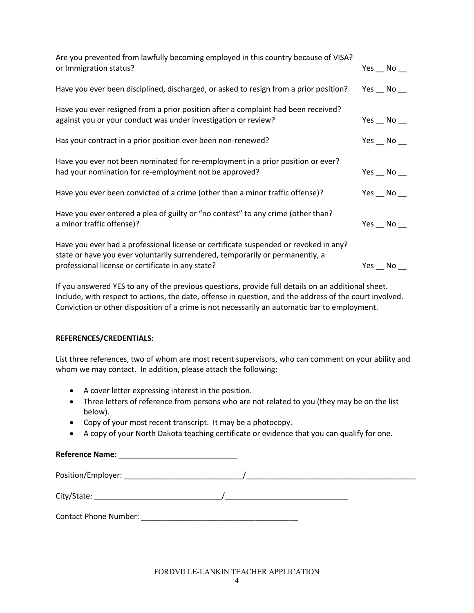| Are you prevented from lawfully becoming employed in this country because of VISA?                                                                                                                                         |                      |  |
|----------------------------------------------------------------------------------------------------------------------------------------------------------------------------------------------------------------------------|----------------------|--|
| or Immigration status?                                                                                                                                                                                                     | Yes $\_\,$ No $\_\$  |  |
| Have you ever been disciplined, discharged, or asked to resign from a prior position?                                                                                                                                      | Yes $\_\,$ No $\_\$  |  |
| Have you ever resigned from a prior position after a complaint had been received?<br>against you or your conduct was under investigation or review?                                                                        | Yes $\_\,$ No $\_\$  |  |
| Has your contract in a prior position ever been non-renewed?                                                                                                                                                               | Yes $\_\$ No $\_\$   |  |
| Have you ever not been nominated for re-employment in a prior position or ever?<br>had your nomination for re-employment not be approved?                                                                                  | Yes $\_\,$ No $\_\$  |  |
| Have you ever been convicted of a crime (other than a minor traffic offense)?                                                                                                                                              | Yes $\_\,$ No $\_\,$ |  |
| Have you ever entered a plea of guilty or "no contest" to any crime (other than?<br>a minor traffic offense)?                                                                                                              | Yes $\_\,$ No $\_\$  |  |
| Have you ever had a professional license or certificate suspended or revoked in any?<br>state or have you ever voluntarily surrendered, temporarily or permanently, a<br>professional license or certificate in any state? | Yes $\_\,$ No $\_\$  |  |

If you answered YES to any of the previous questions, provide full details on an additional sheet. Include, with respect to actions, the date, offense in question, and the address of the court involved. Conviction or other disposition of a crime is not necessarily an automatic bar to employment.

## **REFERENCES/CREDENTIALS:**

List three references, two of whom are most recent supervisors, who can comment on your ability and whom we may contact. In addition, please attach the following:

- A cover letter expressing interest in the position.
- Three letters of reference from persons who are not related to you (they may be on the list below).
- Copy of your most recent transcript. It may be a photocopy.
- A copy of your North Dakota teaching certificate or evidence that you can qualify for one.